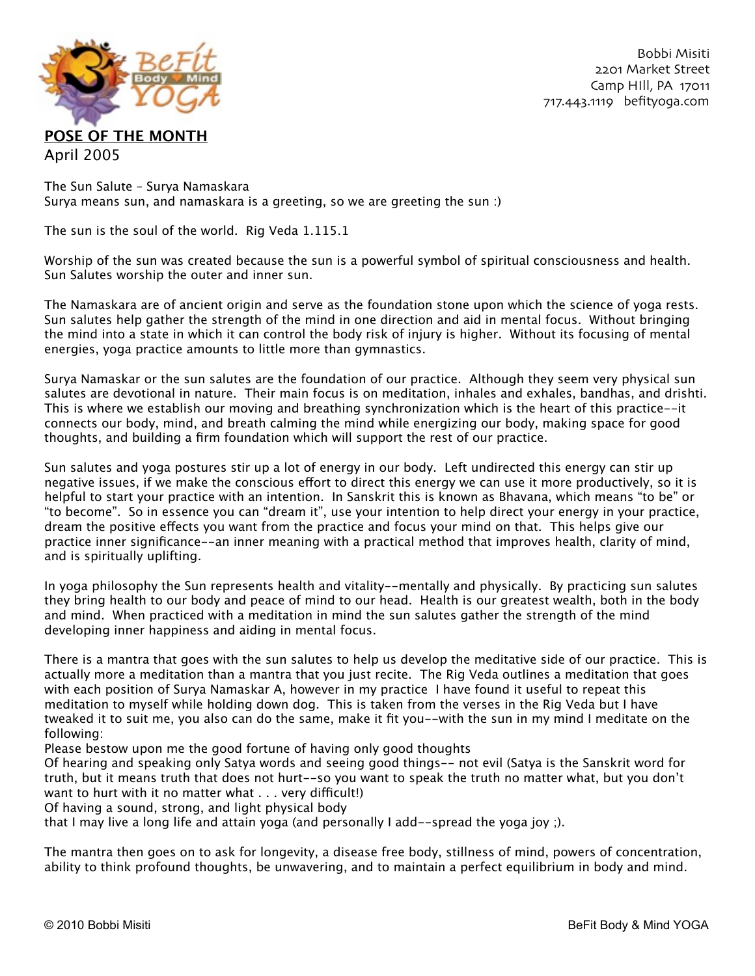

The Sun Salute – Surya Namaskara Surya means sun, and namaskara is a greeting, so we are greeting the sun :)

The sun is the soul of the world. Rig Veda 1.115.1

Worship of the sun was created because the sun is a powerful symbol of spiritual consciousness and health. Sun Salutes worship the outer and inner sun.

The Namaskara are of ancient origin and serve as the foundation stone upon which the science of yoga rests. Sun salutes help gather the strength of the mind in one direction and aid in mental focus. Without bringing the mind into a state in which it can control the body risk of injury is higher. Without its focusing of mental energies, yoga practice amounts to little more than gymnastics.

Surya Namaskar or the sun salutes are the foundation of our practice. Although they seem very physical sun salutes are devotional in nature. Their main focus is on meditation, inhales and exhales, bandhas, and drishti. This is where we establish our moving and breathing synchronization which is the heart of this practice--it connects our body, mind, and breath calming the mind while energizing our body, making space for good thoughts, and building a firm foundation which will support the rest of our practice.

Sun salutes and yoga postures stir up a lot of energy in our body. Left undirected this energy can stir up negative issues, if we make the conscious effort to direct this energy we can use it more productively, so it is helpful to start your practice with an intention. In Sanskrit this is known as Bhavana, which means "to be" or "to become". So in essence you can "dream it", use your intention to help direct your energy in your practice, dream the positive effects you want from the practice and focus your mind on that. This helps give our practice inner significance--an inner meaning with a practical method that improves health, clarity of mind, and is spiritually uplifting.

In yoga philosophy the Sun represents health and vitality--mentally and physically. By practicing sun salutes they bring health to our body and peace of mind to our head. Health is our greatest wealth, both in the body and mind. When practiced with a meditation in mind the sun salutes gather the strength of the mind developing inner happiness and aiding in mental focus.

There is a mantra that goes with the sun salutes to help us develop the meditative side of our practice. This is actually more a meditation than a mantra that you just recite. The Rig Veda outlines a meditation that goes with each position of Surya Namaskar A, however in my practice I have found it useful to repeat this meditation to myself while holding down dog. This is taken from the verses in the Rig Veda but I have tweaked it to suit me, you also can do the same, make it fit you--with the sun in my mind I meditate on the following:

Please bestow upon me the good fortune of having only good thoughts

Of hearing and speaking only Satya words and seeing good things-- not evil (Satya is the Sanskrit word for truth, but it means truth that does not hurt--so you want to speak the truth no matter what, but you don't want to hurt with it no matter what  $\ldots$  very difficult!)

Of having a sound, strong, and light physical body

that I may live a long life and attain yoga (and personally I add--spread the yoga joy ;).

The mantra then goes on to ask for longevity, a disease free body, stillness of mind, powers of concentration, ability to think profound thoughts, be unwavering, and to maintain a perfect equilibrium in body and mind.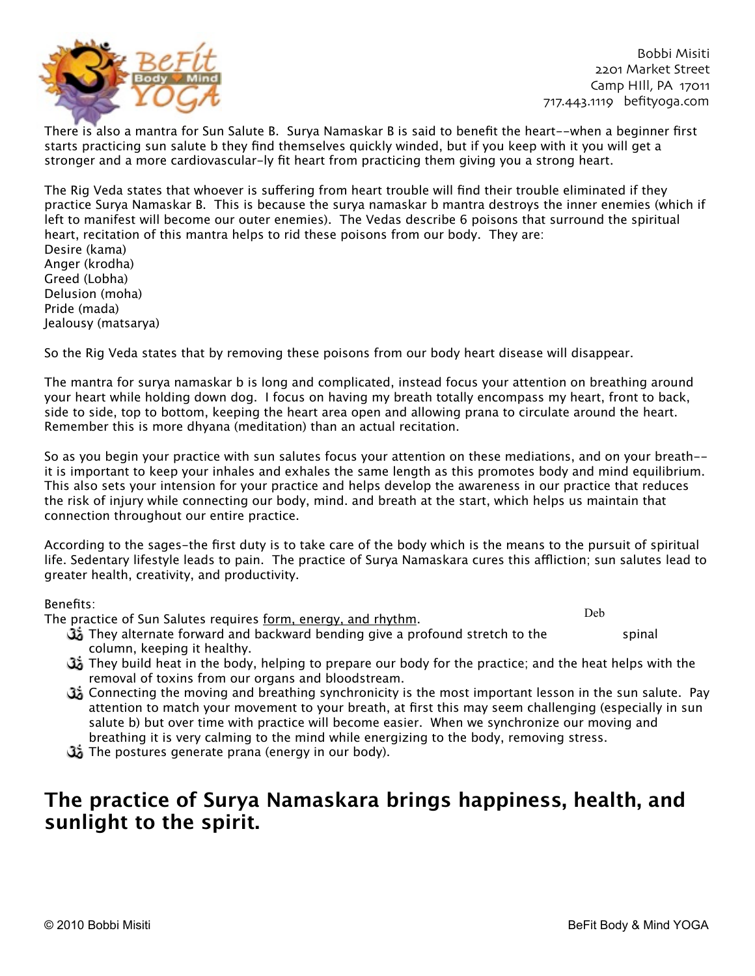

There is also a mantra for Sun Salute B. Surya Namaskar B is said to benefit the heart--when a beginner first starts practicing sun salute b they find themselves quickly winded, but if you keep with it you will get a stronger and a more cardiovascular-ly fit heart from practicing them giving you a strong heart.

The Rig Veda states that whoever is suffering from heart trouble will find their trouble eliminated if they practice Surya Namaskar B. This is because the surya namaskar b mantra destroys the inner enemies (which if left to manifest will become our outer enemies). The Vedas describe 6 poisons that surround the spiritual heart, recitation of this mantra helps to rid these poisons from our body. They are: Desire (kama)

Anger (krodha) Greed (Lobha) Delusion (moha) Pride (mada) Jealousy (matsarya)

So the Rig Veda states that by removing these poisons from our body heart disease will disappear.

The mantra for surya namaskar b is long and complicated, instead focus your attention on breathing around your heart while holding down dog. I focus on having my breath totally encompass my heart, front to back, side to side, top to bottom, keeping the heart area open and allowing prana to circulate around the heart. Remember this is more dhyana (meditation) than an actual recitation.

So as you begin your practice with sun salutes focus your attention on these mediations, and on your breath- it is important to keep your inhales and exhales the same length as this promotes body and mind equilibrium. This also sets your intension for your practice and helps develop the awareness in our practice that reduces the risk of injury while connecting our body, mind. and breath at the start, which helps us maintain that connection throughout our entire practice.

According to the sages-the first duty is to take care of the body which is the means to the pursuit of spiritual life. Sedentary lifestyle leads to pain. The practice of Surya Namaskara cures this affliction; sun salutes lead to greater health, creativity, and productivity.

Benefits:

The practice of Sun Salutes requires form, energy, and rhythm.

Deb

- They alternate forward and backward bending give a profound stretch to the spinal column, keeping it healthy.
- They build heat in the body, helping to prepare our body for the practice; and the heat helps with the removal of toxins from our organs and bloodstream.
- Connecting the moving and breathing synchronicity is the most important lesson in the sun salute. Pay attention to match your movement to your breath, at first this may seem challenging (especially in sun salute b) but over time with practice will become easier. When we synchronize our moving and breathing it is very calming to the mind while energizing to the body, removing stress.
- The postures generate prana (energy in our body).

### **The practice of Surya Namaskara brings happiness, health, and sunlight to the spirit.**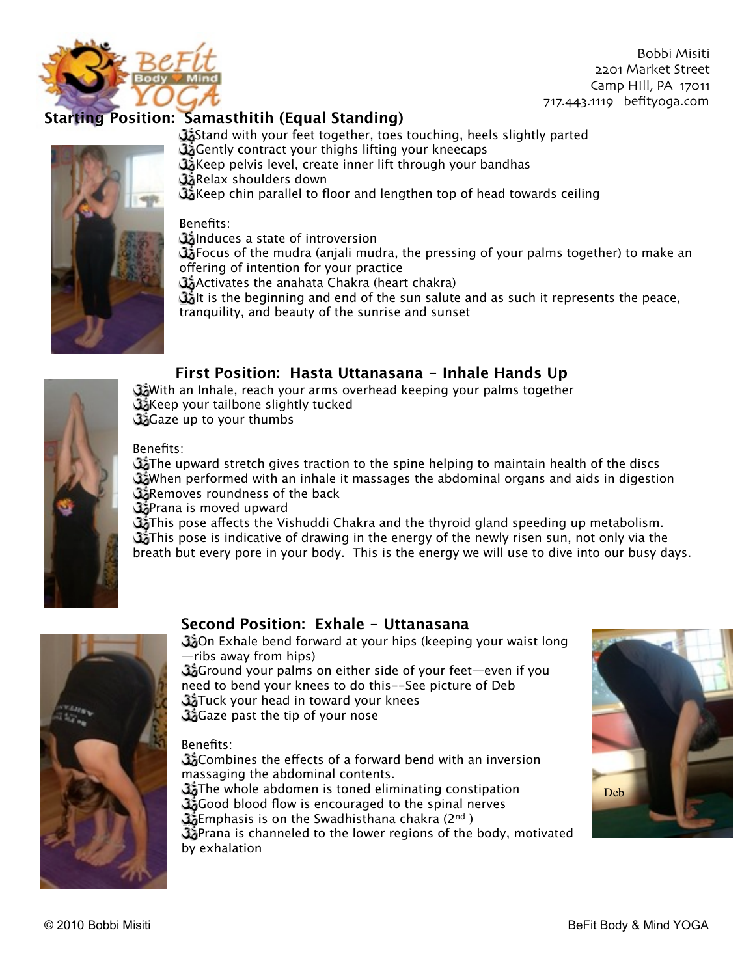

### **Starting Position: Samasthitih (Equal Standing)**

Stand with your feet together, toes touching, heels slightly parted Gently contract your thighs lifting your kneecaps Keep pelvis level, create inner lift through your bandhas Relax shoulders down Keep chin parallel to floor and lengthen top of head towards ceiling

Benefits:

**Ga**Induces a state of introversion

 $G_2$  Focus of the mudra (anjali mudra, the pressing of your palms together) to make an offering of intention for your practice

Activates the anahata Chakra (heart chakra)

Golt is the beginning and end of the sun salute and as such it represents the peace, tranquility, and beauty of the sunrise and sunset

#### **First Position: Hasta Uttanasana - Inhale Hands Up**

With an Inhale, reach your arms overhead keeping your palms together Keep your tailbone slightly tucked Gaze up to your thumbs

Benefits:

 $\mathbb{G}_d$  The upward stretch gives traction to the spine helping to maintain health of the discs When performed with an inhale it massages the abdominal organs and aids in digestion **Removes roundness of the back** 

**B**Prana is moved upward

Ga This pose affects the Vishuddi Chakra and the thyroid gland speeding up metabolism.  $G_0$  This pose is indicative of drawing in the energy of the newly risen sun, not only via the breath but every pore in your body. This is the energy we will use to dive into our busy days.



#### **Second Position: Exhale - Uttanasana**

Con Exhale bend forward at your hips (keeping your waist long —ribs away from hips) Ground your palms on either side of your feet—even if you need to bend your knees to do this--See picture of Deb **Tuck your head in toward your knees** Gaze past the tip of your nose

#### Benefits:

Gombines the effects of a forward bend with an inversion massaging the abdominal contents. **The whole abdomen is toned eliminating constipation** Good blood flow is encouraged to the spinal nerves **Emphasis is on the Swadhisthana chakra (2nd) B**>Prana is channeled to the lower regions of the body, motivated by exhalation

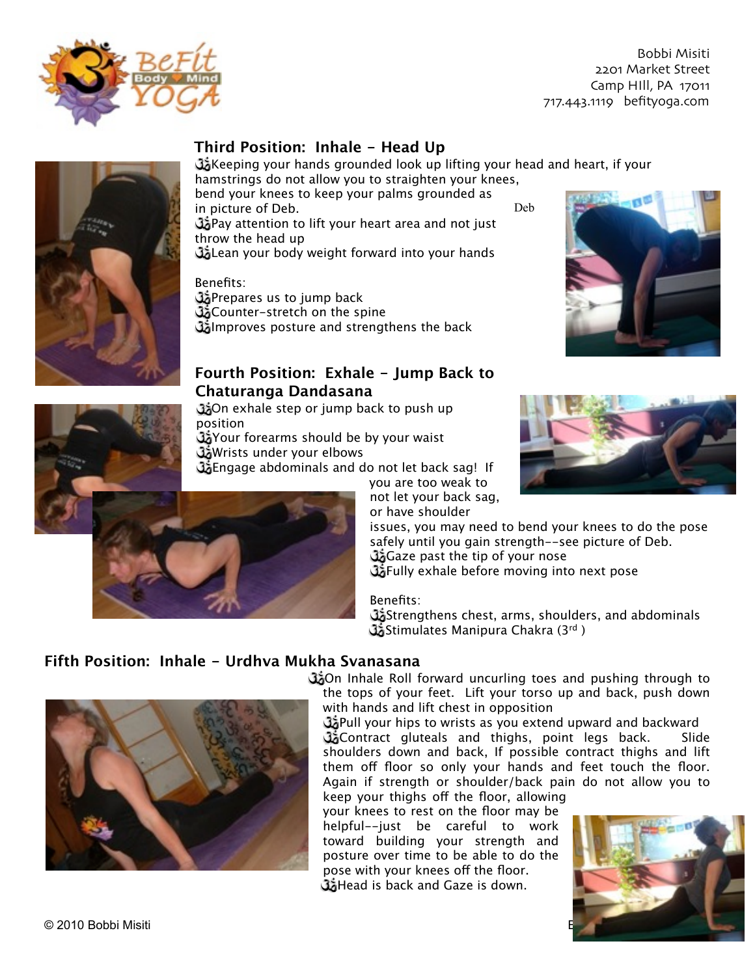

#### **Third Position: Inhale - Head Up**

GA Keeping your hands grounded look up lifting your head and heart, if your hamstrings do not allow you to straighten your knees,

bend your knees to keep your palms grounded as in picture of Deb. Pay attention to lift your heart area and not just throw the head up Lean your body weight forward into your hands

Benefits:

**S**Prepares us to jump back **Counter-stretch on the spine** Improves posture and strengthens the back

#### **Fourth Position: Exhale - Jump Back to Chaturanga Dandasana**

**Con** exhale step or jump back to push up position

Your forearms should be by your waist

**Wrists under your elbows** 

Go Engage abdominals and do not let back sag! If

you are too weak to not let your back sag, or have shoulder

issues, you may need to bend your knees to do the pose safely until you gain strength--see picture of Deb. Gaze past the tip of your nose **W** Fully exhale before moving into next pose

Deb

Benefits:

Obstrengthens chest, arms, shoulders, and abdominals Stimulates Manipura Chakra (3rd )

#### **Fifth Position: Inhale - Urdhva Mukha Svanasana**

On Inhale Roll forward uncurling toes and pushing through to the tops of your feet. Lift your torso up and back, push down with hands and lift chest in opposition

**B** Pull your hips to wrists as you extend upward and backward Gontract gluteals and thighs, point legs back. Slide shoulders down and back, If possible contract thighs and lift them off floor so only your hands and feet touch the floor. Again if strength or shoulder/back pain do not allow you to

keep your thighs off the floor, allowing your knees to rest on the floor may be helpful--just be careful to work toward building your strength and posture over time to be able to do the pose with your knees off the floor. Head is back and Gaze is down.







© 2010 Bobbi Misiti





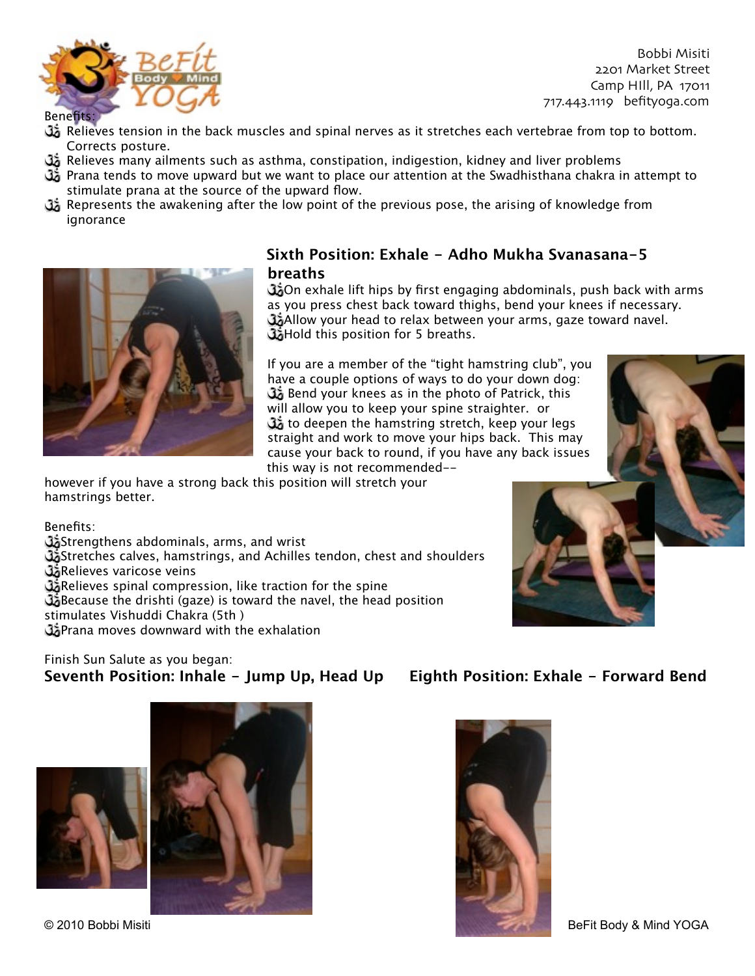

Benefits:

- **G** Relieves tension in the back muscles and spinal nerves as it stretches each vertebrae from top to bottom. Corrects posture.
- **G** Relieves many ailments such as asthma, constipation, indigestion, kidney and liver problems
- $\mathbb{G}_2$  Prana tends to move upward but we want to place our attention at the Swadhisthana chakra in attempt to stimulate prana at the source of the upward flow.
- **B** Represents the awakening after the low point of the previous pose, the arising of knowledge from ignorance



#### **Sixth Position: Exhale - Adho Mukha Svanasana-5 breaths**

On exhale lift hips by first engaging abdominals, push back with arms as you press chest back toward thighs, bend your knees if necessary. GAllow your head to relax between your arms, gaze toward navel. **Hold this position for 5 breaths.** 

If you are a member of the "tight hamstring club", you have a couple options of ways to do your down dog: Bend your knees as in the photo of Patrick, this will allow you to keep your spine straighter. or to deepen the hamstring stretch, keep your legs straight and work to move your hips back. This may cause your back to round, if you have any back issues this way is not recommended--

however if you have a strong back this position will stretch your hamstrings better.

Benefits:

Strengthens abdominals, arms, and wrist

Stretches calves, hamstrings, and Achilles tendon, chest and shoulders **Relieves varicose veins** 

Go Relieves spinal compression, like traction for the spine

Because the drishti (gaze) is toward the navel, the head position

stimulates Vishuddi Chakra (5th )

**C**Prana moves downward with the exhalation

#### Finish Sun Salute as you began: **Seventh Position: Inhale - Jump Up, Head Up Eighth Position: Exhale - Forward Bend**









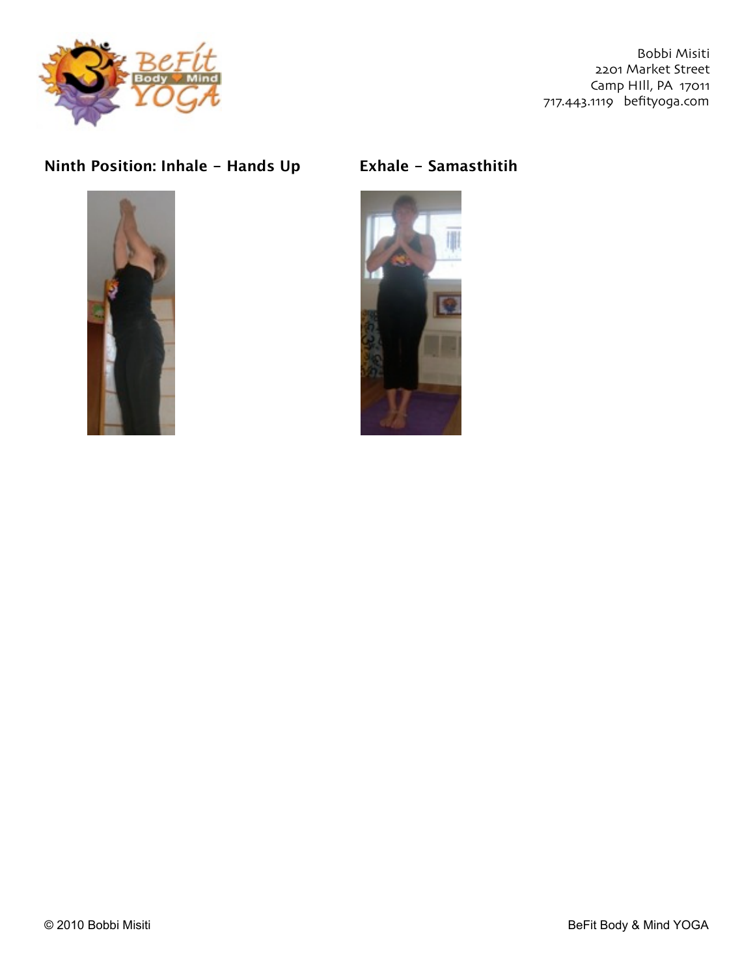

### **Ninth Position: Inhale - Hands Up Exhale - Samasthitih**





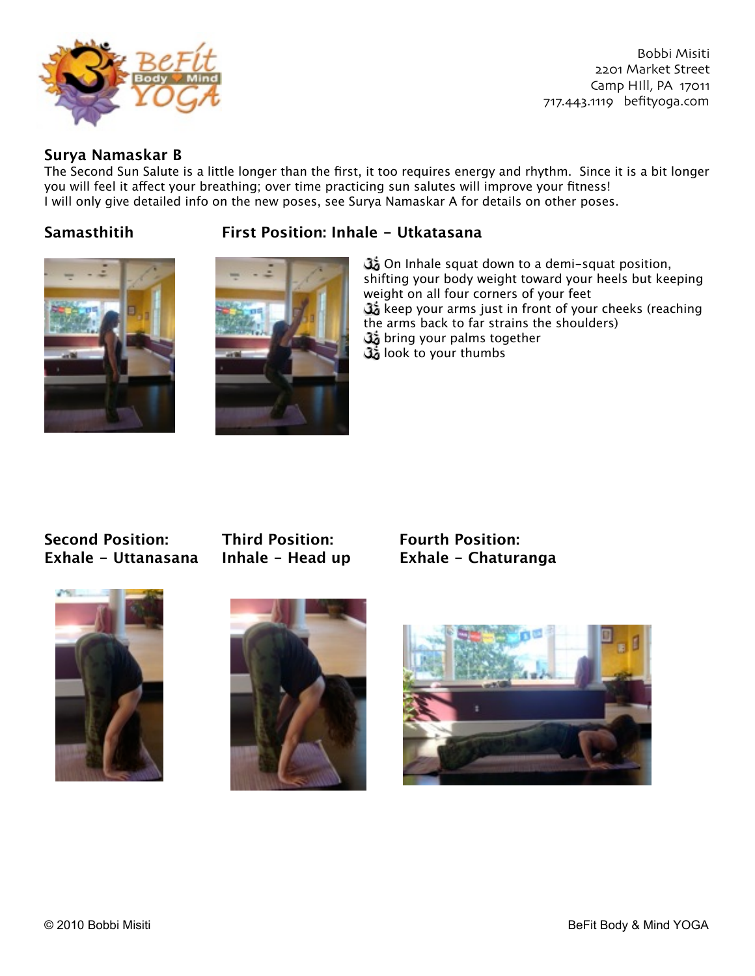

#### **Surya Namaskar B**

The Second Sun Salute is a little longer than the first, it too requires energy and rhythm. Since it is a bit longer you will feel it affect your breathing; over time practicing sun salutes will improve your fitness! I will only give detailed info on the new poses, see Surya Namaskar A for details on other poses.







On Inhale squat down to a demi-squat position, shifting your body weight toward your heels but keeping weight on all four corners of your feet keep your arms just in front of your cheeks (reaching the arms back to far strains the shoulders) **33** bring your palms together look to your thumbs

# **Second Position: Third Position: Fourth Position:**



**Exhale - Uttanasana Inhale - Head up Exhale - Chaturanga**





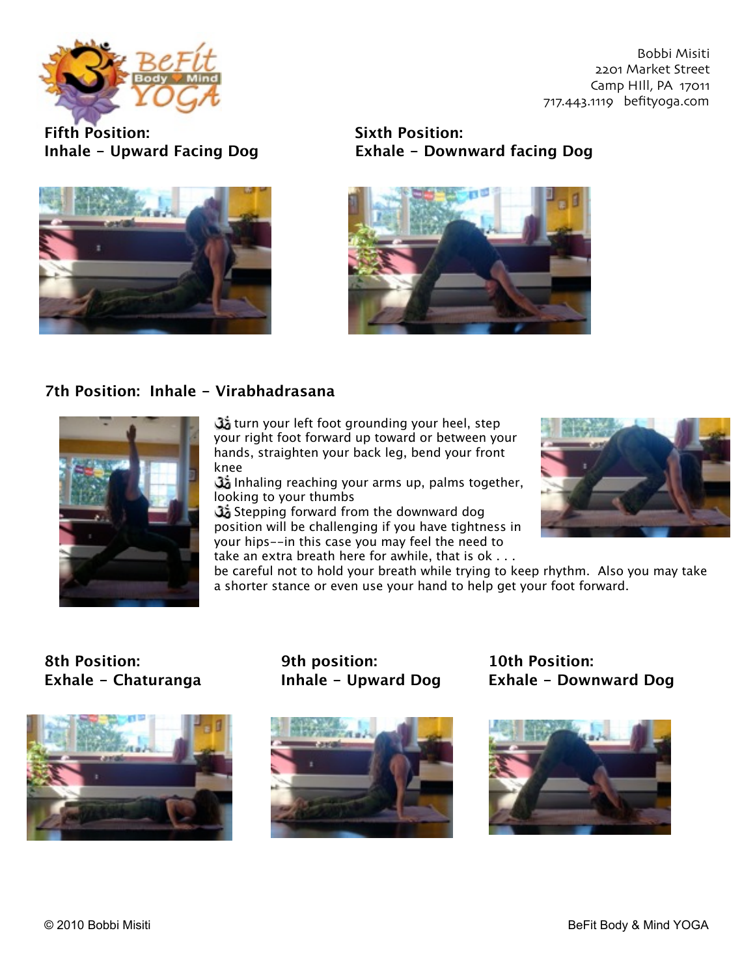

**Fifth Position:
Sixth Position:**



# **Inhale - Upward Facing Dog
Exhale - Downward facing Dog**



#### **7th Position: Inhale - Virabhadrasana**



turn your left foot grounding your heel, step your right foot forward up toward or between your hands, straighten your back leg, bend your front knee

 Inhaling reaching your arms up, palms together, looking to your thumbs

Stepping forward from the downward dog position will be challenging if you have tightness in your hips--in this case you may feel the need to take an extra breath here for awhile, that is ok . . .



be careful not to hold your breath while trying to keep rhythm. Also you may take a shorter stance or even use your hand to help get your foot forward.

# **8th Position:
9th position:
10th Position:**





**Exhale - Chaturanga Inhale - Upward Dog Exhale - Downward Dog**